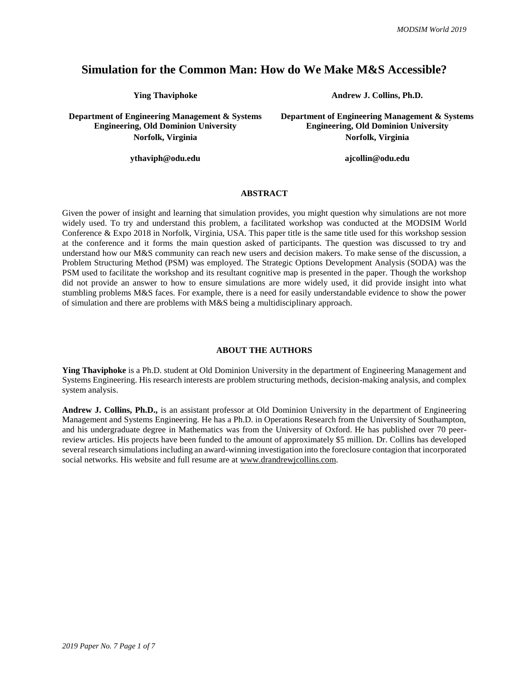# **Simulation for the Common Man: How do We Make M&S Accessible?**

**Department of Engineering Management & Systems Engineering, Old Dominion University**

**ythaviph@odu.edu ajcollin@odu.edu a** 

**Ying Thaviphoke Andrew J. Collins, Ph.D.** 

**Department of Engineering Management & Systems Engineering, Old Dominion University Norfolk, Virginia Norfolk, Virginia** 

### **ABSTRACT**

Given the power of insight and learning that simulation provides, you might question why simulations are not more widely used. To try and understand this problem, a facilitated workshop was conducted at the MODSIM World Conference & Expo 2018 in Norfolk, Virginia, USA. This paper title is the same title used for this workshop session at the conference and it forms the main question asked of participants. The question was discussed to try and understand how our M&S community can reach new users and decision makers. To make sense of the discussion, a Problem Structuring Method (PSM) was employed. The Strategic Options Development Analysis (SODA) was the PSM used to facilitate the workshop and its resultant cognitive map is presented in the paper. Though the workshop did not provide an answer to how to ensure simulations are more widely used, it did provide insight into what stumbling problems M&S faces. For example, there is a need for easily understandable evidence to show the power of simulation and there are problems with M&S being a multidisciplinary approach.

#### **ABOUT THE AUTHORS**

**Ying Thaviphoke** is a Ph.D. student at Old Dominion University in the department of Engineering Management and Systems Engineering. His research interests are problem structuring methods, decision-making analysis, and complex system analysis.

**Andrew J. Collins, Ph.D.,** is an assistant professor at Old Dominion University in the department of Engineering Management and Systems Engineering. He has a Ph.D. in Operations Research from the University of Southampton, and his undergraduate degree in Mathematics was from the University of Oxford. He has published over 70 peerreview articles. His projects have been funded to the amount of approximately \$5 million. Dr. Collins has developed several research simulations including an award-winning investigation into the foreclosure contagion that incorporated social networks. His website and full resume are at [www.drandrewjcollins.com.](http://www.drandrewjcollins.com/)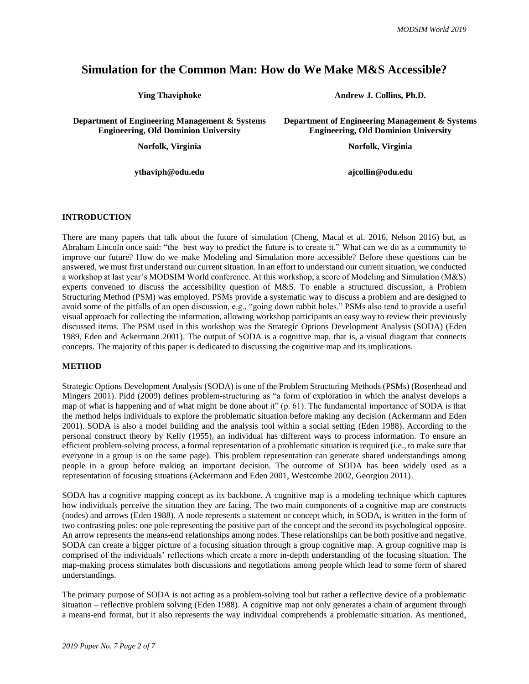# **Simulation for the Common Man: How do We Make M&S Accessible?**

**Department of Engineering Management & Systems Engineering, Old Dominion University**

**ythaviph@odu.edu ajcollin@odu.edu**

**Ying Thaviphoke Andrew J. Collins, Ph.D.**

**Department of Engineering Management & Systems Engineering, Old Dominion University**

**Norfolk, Virginia Norfolk, Virginia**

### **INTRODUCTION**

There are many papers that talk about the future of simulation (Cheng, Macal et al. 2016, Nelson 2016) but, as Abraham Lincoln once said: "the best way to predict the future is to create it." What can we do as a community to improve our future? How do we make Modeling and Simulation more accessible? Before these questions can be answered, we must first understand our current situation. In an effort to understand our current situation, we conducted a workshop at last year's MODSIM World conference. At this workshop, a score of Modeling and Simulation (M&S) experts convened to discuss the accessibility question of M&S. To enable a structured discussion, a Problem Structuring Method (PSM) was employed. PSMs provide a systematic way to discuss a problem and are designed to avoid some of the pitfalls of an open discussion, e.g., "going down rabbit holes." PSMs also tend to provide a useful visual approach for collecting the information, allowing workshop participants an easy way to review their previously discussed items. The PSM used in this workshop was the Strategic Options Development Analysis (SODA) (Eden 1989, Eden and Ackermann 2001). The output of SODA is a cognitive map, that is, a visual diagram that connects concepts. The majority of this paper is dedicated to discussing the cognitive map and its implications.

#### **METHOD**

Strategic Options Development Analysis (SODA) is one of the Problem Structuring Methods (PSMs) (Rosenhead and Mingers 2001). Pidd (2009) defines problem-structuring as "a form of exploration in which the analyst develops a map of what is happening and of what might be done about it" (p. 61). The fundamental importance of SODA is that the method helps individuals to explore the problematic situation before making any decision (Ackermann and Eden 2001). SODA is also a model building and the analysis tool within a social setting (Eden 1988). According to the personal construct theory by Kelly (1955), an individual has different ways to process information. To ensure an efficient problem-solving process, a formal representation of a problematic situation is required (i.e., to make sure that everyone in a group is on the same page). This problem representation can generate shared understandings among people in a group before making an important decision. The outcome of SODA has been widely used as a representation of focusing situations (Ackermann and Eden 2001, Westcombe 2002, Georgiou 2011).

SODA has a cognitive mapping concept as its backbone. A cognitive map is a modeling technique which captures how individuals perceive the situation they are facing. The two main components of a cognitive map are constructs (nodes) and arrows (Eden 1988). A node represents a statement or concept which, in SODA, is written in the form of two contrasting poles: one pole representing the positive part of the concept and the second its psychological opposite. An arrow represents the means-end relationships among nodes. These relationships can be both positive and negative. SODA can create a bigger picture of a focusing situation through a group cognitive map. A group cognitive map is comprised of the individuals' reflections which create a more in-depth understanding of the focusing situation. The map-making process stimulates both discussions and negotiations among people which lead to some form of shared understandings.

The primary purpose of SODA is not acting as a problem-solving tool but rather a reflective device of a problematic situation – reflective problem solving (Eden 1988). A cognitive map not only generates a chain of argument through a means-end format, but it also represents the way individual comprehends a problematic situation. As mentioned,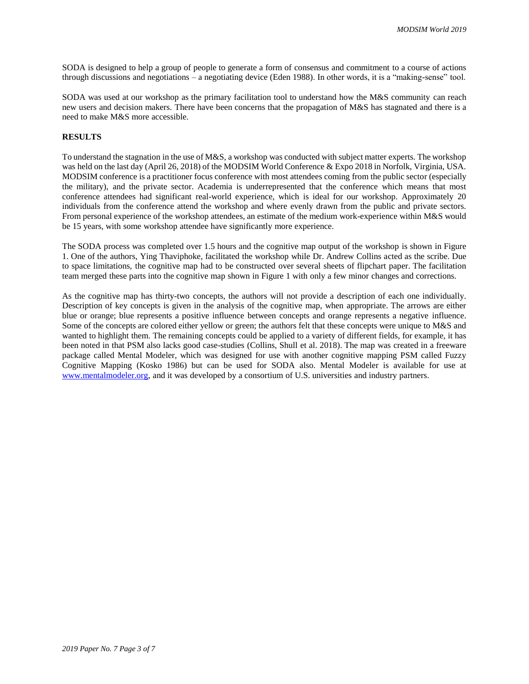SODA is designed to help a group of people to generate a form of consensus and commitment to a course of actions through discussions and negotiations – a negotiating device (Eden 1988). In other words, it is a "making-sense" tool.

SODA was used at our workshop as the primary facilitation tool to understand how the M&S community can reach new users and decision makers. There have been concerns that the propagation of M&S has stagnated and there is a need to make M&S more accessible.

# **RESULTS**

To understand the stagnation in the use of M&S, a workshop was conducted with subject matter experts. The workshop was held on the last day (April 26, 2018) of the MODSIM World Conference & Expo 2018 in Norfolk, Virginia, USA. MODSIM conference is a practitioner focus conference with most attendees coming from the public sector (especially the military), and the private sector. Academia is underrepresented that the conference which means that most conference attendees had significant real-world experience, which is ideal for our workshop. Approximately 20 individuals from the conference attend the workshop and where evenly drawn from the public and private sectors. From personal experience of the workshop attendees, an estimate of the medium work-experience within M&S would be 15 years, with some workshop attendee have significantly more experience.

The SODA process was completed over 1.5 hours and the cognitive map output of the workshop is shown in [Figure](#page-3-0)  [1.](#page-3-0) One of the authors, Ying Thaviphoke, facilitated the workshop while Dr. Andrew Collins acted as the scribe. Due to space limitations, the cognitive map had to be constructed over several sheets of flipchart paper. The facilitation team merged these parts into the cognitive map shown in [Figure 1](#page-3-0) with only a few minor changes and corrections.

As the cognitive map has thirty-two concepts, the authors will not provide a description of each one individually. Description of key concepts is given in the analysis of the cognitive map, when appropriate. The arrows are either blue or orange; blue represents a positive influence between concepts and orange represents a negative influence. Some of the concepts are colored either yellow or green; the authors felt that these concepts were unique to M&S and wanted to highlight them. The remaining concepts could be applied to a variety of different fields, for example, it has been noted in that PSM also lacks good case-studies (Collins, Shull et al. 2018). The map was created in a freeware package called Mental Modeler, which was designed for use with another cognitive mapping PSM called Fuzzy Cognitive Mapping (Kosko 1986) but can be used for SODA also. Mental Modeler is available for use at [www.mentalmodeler.org,](http://www.mentalmodeler.org/) and it was developed by a consortium of U.S. universities and industry partners.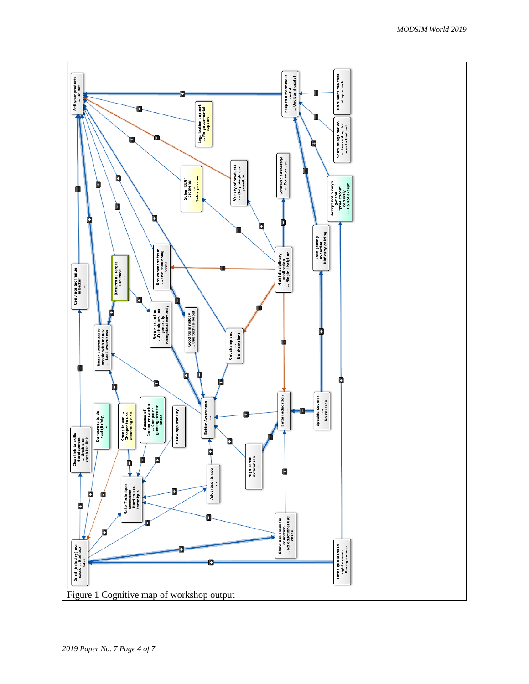<span id="page-3-0"></span>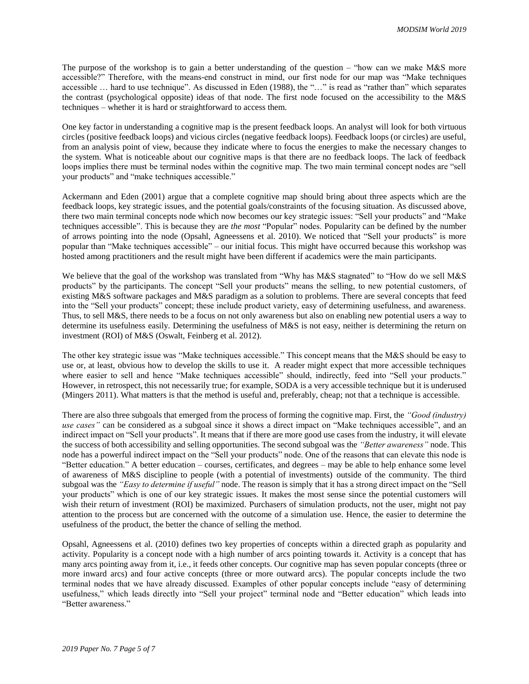The purpose of the workshop is to gain a better understanding of the question – "how can we make M&S more accessible?" Therefore, with the means-end construct in mind, our first node for our map was "Make techniques accessible … hard to use technique". As discussed in Eden (1988), the "…" is read as "rather than" which separates the contrast (psychological opposite) ideas of that node. The first node focused on the accessibility to the M&S techniques – whether it is hard or straightforward to access them.

One key factor in understanding a cognitive map is the present feedback loops. An analyst will look for both virtuous circles (positive feedback loops) and vicious circles (negative feedback loops). Feedback loops (or circles) are useful, from an analysis point of view, because they indicate where to focus the energies to make the necessary changes to the system. What is noticeable about our cognitive maps is that there are no feedback loops. The lack of feedback loops implies there must be terminal nodes within the cognitive map. The two main terminal concept nodes are "sell your products" and "make techniques accessible."

Ackermann and Eden (2001) argue that a complete cognitive map should bring about three aspects which are the feedback loops, key strategic issues, and the potential goals/constraints of the focusing situation. As discussed above, there two main terminal concepts node which now becomes our key strategic issues: "Sell your products" and "Make techniques accessible". This is because they are *the most* "Popular" nodes. Popularity can be defined by the number of arrows pointing into the node (Opsahl, Agneessens et al. 2010). We noticed that "Sell your products" is more popular than "Make techniques accessible" – our initial focus. This might have occurred because this workshop was hosted among practitioners and the result might have been different if academics were the main participants.

We believe that the goal of the workshop was translated from "Why has M&S stagnated" to "How do we sell M&S" products" by the participants. The concept "Sell your products" means the selling, to new potential customers, of existing M&S software packages and M&S paradigm as a solution to problems. There are several concepts that feed into the "Sell your products" concept; these include product variety, easy of determining usefulness, and awareness. Thus, to sell M&S, there needs to be a focus on not only awareness but also on enabling new potential users a way to determine its usefulness easily. Determining the usefulness of M&S is not easy, neither is determining the return on investment (ROI) of M&S (Oswalt, Feinberg et al. 2012).

The other key strategic issue was "Make techniques accessible." This concept means that the M&S should be easy to use or, at least, obvious how to develop the skills to use it. A reader might expect that more accessible techniques where easier to sell and hence "Make techniques accessible" should, indirectly, feed into "Sell your products." However, in retrospect, this not necessarily true; for example, SODA is a very accessible technique but it is underused (Mingers 2011). What matters is that the method is useful and, preferably, cheap; not that a technique is accessible.

There are also three subgoals that emerged from the process of forming the cognitive map. First, the *"Good (industry) use cases*" can be considered as a subgoal since it shows a direct impact on "Make techniques accessible", and an indirect impact on "Sell your products". It means that if there are more good use cases from the industry, it will elevate the success of both accessibility and selling opportunities. The second subgoal was the *"Better awareness"* node. This node has a powerful indirect impact on the "Sell your products" node. One of the reasons that can elevate this node is "Better education." A better education – courses, certificates, and degrees – may be able to help enhance some level of awareness of M&S discipline to people (with a potential of investments) outside of the community. The third subgoal was the *"Easy to determine if useful"* node. The reason is simply that it has a strong direct impact on the "Sell your products" which is one of our key strategic issues. It makes the most sense since the potential customers will wish their return of investment (ROI) be maximized. Purchasers of simulation products, not the user, might not pay attention to the process but are concerned with the outcome of a simulation use. Hence, the easier to determine the usefulness of the product, the better the chance of selling the method.

Opsahl, Agneessens et al. (2010) defines two key properties of concepts within a directed graph as popularity and activity. Popularity is a concept node with a high number of arcs pointing towards it. Activity is a concept that has many arcs pointing away from it, i.e., it feeds other concepts. Our cognitive map has seven popular concepts (three or more inward arcs) and four active concepts (three or more outward arcs). The popular concepts include the two terminal nodes that we have already discussed. Examples of other popular concepts include "easy of determining usefulness," which leads directly into "Sell your project" terminal node and "Better education" which leads into "Better awareness."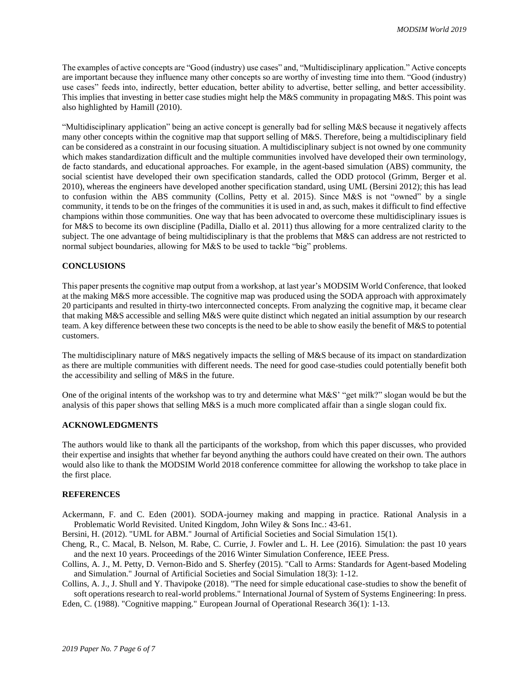The examples of active concepts are "Good (industry) use cases" and, "Multidisciplinary application." Active concepts are important because they influence many other concepts so are worthy of investing time into them. "Good (industry) use cases" feeds into, indirectly, better education, better ability to advertise, better selling, and better accessibility. This implies that investing in better case studies might help the M&S community in propagating M&S. This point was also highlighted by Hamill (2010).

"Multidisciplinary application" being an active concept is generally bad for selling M&S because it negatively affects many other concepts within the cognitive map that support selling of M&S. Therefore, being a multidisciplinary field can be considered as a constraint in our focusing situation. A multidisciplinary subject is not owned by one community which makes standardization difficult and the multiple communities involved have developed their own terminology, de facto standards, and educational approaches. For example, in the agent-based simulation (ABS) community, the social scientist have developed their own specification standards, called the ODD protocol (Grimm, Berger et al. 2010), whereas the engineers have developed another specification standard, using UML (Bersini 2012); this has lead to confusion within the ABS community (Collins, Petty et al. 2015). Since M&S is not "owned" by a single community, it tends to be on the fringes of the communities it is used in and, as such, makes it difficult to find effective champions within those communities. One way that has been advocated to overcome these multidisciplinary issues is for M&S to become its own discipline (Padilla, Diallo et al. 2011) thus allowing for a more centralized clarity to the subject. The one advantage of being multidisciplinary is that the problems that M&S can address are not restricted to normal subject boundaries, allowing for M&S to be used to tackle "big" problems.

# **CONCLUSIONS**

This paper presents the cognitive map output from a workshop, at last year's MODSIM World Conference, that looked at the making M&S more accessible. The cognitive map was produced using the SODA approach with approximately 20 participants and resulted in thirty-two interconnected concepts. From analyzing the cognitive map, it became clear that making M&S accessible and selling M&S were quite distinct which negated an initial assumption by our research team. A key difference between these two concepts is the need to be able to show easily the benefit of M&S to potential customers.

The multidisciplinary nature of M&S negatively impacts the selling of M&S because of its impact on standardization as there are multiple communities with different needs. The need for good case-studies could potentially benefit both the accessibility and selling of M&S in the future.

One of the original intents of the workshop was to try and determine what M&S' "get milk?" slogan would be but the analysis of this paper shows that selling M&S is a much more complicated affair than a single slogan could fix.

# **ACKNOWLEDGMENTS**

The authors would like to thank all the participants of the workshop, from which this paper discusses, who provided their expertise and insights that whether far beyond anything the authors could have created on their own. The authors would also like to thank the MODSIM World 2018 conference committee for allowing the workshop to take place in the first place.

# **REFERENCES**

- Ackermann, F. and C. Eden (2001). SODA-journey making and mapping in practice. Rational Analysis in a Problematic World Revisited. United Kingdom, John Wiley & Sons Inc.: 43-61.
- Bersini, H. (2012). "UML for ABM." Journal of Artificial Societies and Social Simulation 15(1).
- Cheng, R., C. Macal, B. Nelson, M. Rabe, C. Currie, J. Fowler and L. H. Lee (2016). Simulation: the past 10 years and the next 10 years. Proceedings of the 2016 Winter Simulation Conference, IEEE Press.
- Collins, A. J., M. Petty, D. Vernon-Bido and S. Sherfey (2015). "Call to Arms: Standards for Agent-based Modeling and Simulation." Journal of Artificial Societies and Social Simulation 18(3): 1-12.
- Collins, A. J., J. Shull and Y. Thavipoke (2018). "The need for simple educational case-studies to show the benefit of soft operations research to real-world problems." International Journal of System of Systems Engineering: In press.

Eden, C. (1988). "Cognitive mapping." European Journal of Operational Research 36(1): 1-13.